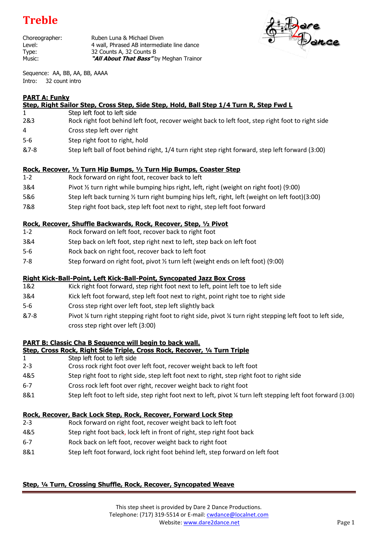# **Treble**

Choreographer: Ruben Luna & Michael Diven Level: **1988** 4 wall, Phrased AB intermediate line dance Type: 32 Counts A, 32 Counts B Music: **"All About That Bass"** by Meghan Trainor



Sequence: AA, BB, AA, BB, AAAA Intro: 32 count intro

# **PART A: Funky**

|         | <u>Step, Right Sailor Step, Cross Step, Side Step, Hold, Ball Step 1/4 Turn R, Step Fwd L</u>     |
|---------|---------------------------------------------------------------------------------------------------|
|         | Step left foot to left side                                                                       |
| 2&3     | Rock right foot behind left foot, recover weight back to left foot, step right foot to right side |
| 4       | Cross step left over right                                                                        |
| $5 - 6$ | Step right foot to right, hold                                                                    |
| &7-8    | Step left ball of foot behind right, 1/4 turn right step right forward, step left forward (3:00)  |
|         |                                                                                                   |

# **Rock, Recover, ½ Turn Hip Bumps, ½ Turn Hip Bumps, Coaster Step**

- 1-2 Rock forward on right foot, recover back to left
- 3&4 Pivot ½ turn right while bumping hips right, left, right (weight on right foot) (9:00)
- 5&6 Step left back turning ½ turn right bumping hips left, right, left (weight on left foot)(3:00)
- 7&8 Step right foot back, step left foot next to right, step left foot forward

# **Rock, Recover, Shuffle Backwards, Rock, Recover, Step, ½ Pivot**

- 1-2 Rock forward on left foot, recover back to right foot
- 3&4 Step back on left foot, step right next to left, step back on left foot
- 5-6 Rock back on right foot, recover back to left foot
- 7-8 Step forward on right foot, pivot ½ turn left (weight ends on left foot) (9:00)

# **Right Kick-Ball-Point, Left Kick-Ball-Point, Syncopated Jazz Box Cross**

- 1&2 Kick right foot forward, step right foot next to left, point left toe to left side
- 3&4 Kick left foot forward, step left foot next to right, point right toe to right side
- 5-6 Cross step right over left foot, step left slightly back
- &7-8 Pivot ¼ turn right stepping right foot to right side, pivot ¼ turn right stepping left foot to left side, cross step right over left (3:00)

# **PART B: Classic Cha B Sequence will begin to back wall.**

#### **Step, Cross Rock, Right Side Triple, Cross Rock, Recover, ¼ Turn Triple**

- 1 Step left foot to left side
- 2-3 Cross rock right foot over left foot, recover weight back to left foot
- 4&5 Step right foot to right side, step left foot next to right, step right foot to right side
- 6-7 Cross rock left foot over right, recover weight back to right foot
- 8&1 Step left foot to left side, step right foot next to left, pivot ¼ turn left stepping left foot forward (3:00)

# **Rock, Recover, Back Lock Step, Rock, Recover, Forward Lock Step**

- 2-3 Rock forward on right foot, recover weight back to left foot
- 4&5 Step right foot back, lock left in front of right, step right foot back
- 6-7 Rock back on left foot, recover weight back to right foot
- 8&1 Step left foot forward, lock right foot behind left, step forward on left foot

# **Step, ¼ Turn, Crossing Shuffle, Rock, Recover, Syncopated Weave**